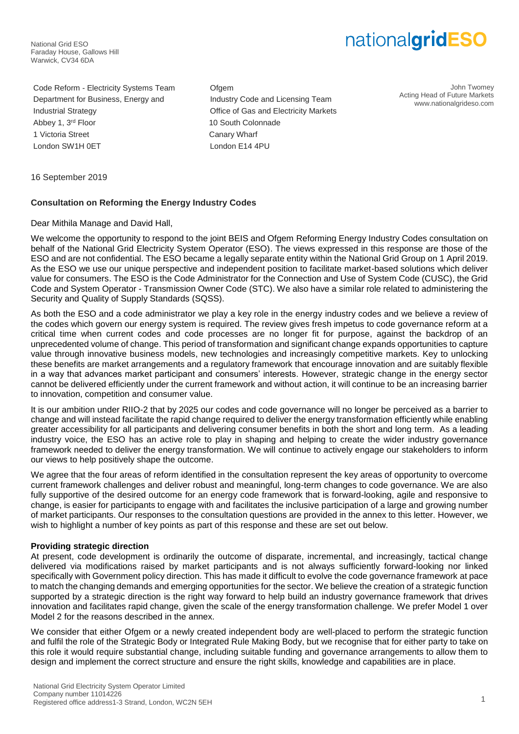National Grid ESO Faraday House, Gallows Hill Warwick, CV34 6DA

# nationalgridESO

Code Reform - Electricity Systems Team Ofgem Department for Business, Energy and Industry Code and Licensing Team Industrial Strategy Office of Gas and Electricity Markets Abbey 1, 3<sup>rd</sup> Floor 10 South Colonnade 1 Victoria Street **Canary Wharf** London SW1H 0ET London E14 4PU

John Twomey Acting Head of Future Markets www.nationalgrideso.com

16 September 2019

## **Consultation on Reforming the Energy Industry Codes**

Dear Mithila Manage and David Hall,

We welcome the opportunity to respond to the joint BEIS and Ofgem Reforming Energy Industry Codes consultation on behalf of the National Grid Electricity System Operator (ESO). The views expressed in this response are those of the ESO and are not confidential. The ESO became a legally separate entity within the National Grid Group on 1 April 2019. As the ESO we use our unique perspective and independent position to facilitate market-based solutions which deliver value for consumers. The ESO is the Code Administrator for the Connection and Use of System Code (CUSC), the Grid Code and System Operator - Transmission Owner Code (STC). We also have a similar role related to administering the Security and Quality of Supply Standards (SQSS).

As both the ESO and a code administrator we play a key role in the energy industry codes and we believe a review of the codes which govern our energy system is required. The review gives fresh impetus to code governance reform at a critical time when current codes and code processes are no longer fit for purpose, against the backdrop of an unprecedented volume of change. This period of transformation and significant change expands opportunities to capture value through innovative business models, new technologies and increasingly competitive markets. Key to unlocking these benefits are market arrangements and a regulatory framework that encourage innovation and are suitably flexible in a way that advances market participant and consumers' interests. However, strategic change in the energy sector cannot be delivered efficiently under the current framework and without action, it will continue to be an increasing barrier to innovation, competition and consumer value.

It is our ambition under RIIO-2 that by 2025 our codes and code governance will no longer be perceived as a barrier to change and will instead facilitate the rapid change required to deliver the energy transformation efficiently while enabling greater accessibility for all participants and delivering consumer benefits in both the short and long term. As a leading industry voice, the ESO has an active role to play in shaping and helping to create the wider industry governance framework needed to deliver the energy transformation. We will continue to actively engage our stakeholders to inform our views to help positively shape the outcome.

We agree that the four areas of reform identified in the consultation represent the key areas of opportunity to overcome current framework challenges and deliver robust and meaningful, long-term changes to code governance. We are also fully supportive of the desired outcome for an energy code framework that is forward-looking, agile and responsive to change, is easier for participants to engage with and facilitates the inclusive participation of a large and growing number of market participants. Our responses to the consultation questions are provided in the annex to this letter. However, we wish to highlight a number of key points as part of this response and these are set out below.

## **Providing strategic direction**

At present, code development is ordinarily the outcome of disparate, incremental, and increasingly, tactical change delivered via modifications raised by market participants and is not always sufficiently forward-looking nor linked specifically with Government policy direction. This has made it difficult to evolve the code governance framework at pace to match the changing demands and emerging opportunities for the sector. We believe the creation of a strategic function supported by a strategic direction is the right way forward to help build an industry governance framework that drives innovation and facilitates rapid change, given the scale of the energy transformation challenge. We prefer Model 1 over Model 2 for the reasons described in the annex.

We consider that either Ofgem or a newly created independent body are well-placed to perform the strategic function and fulfil the role of the Strategic Body or Integrated Rule Making Body, but we recognise that for either party to take on this role it would require substantial change, including suitable funding and governance arrangements to allow them to design and implement the correct structure and ensure the right skills, knowledge and capabilities are in place.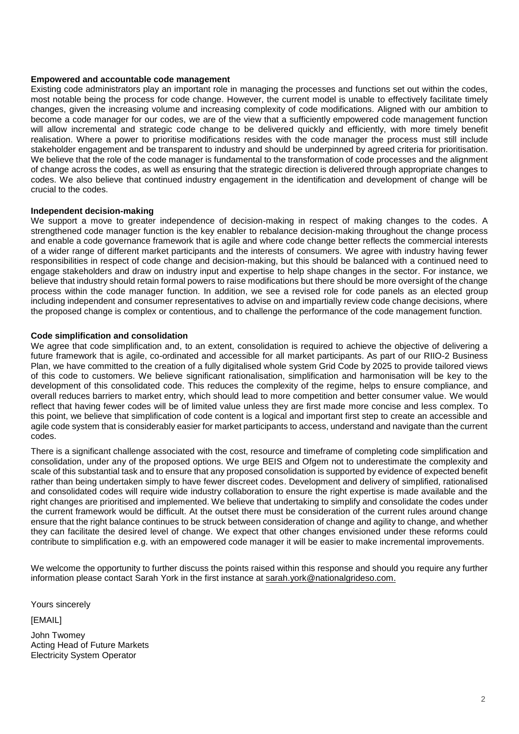## **Empowered and accountable code management**

Existing code administrators play an important role in managing the processes and functions set out within the codes, most notable being the process for code change. However, the current model is unable to effectively facilitate timely changes, given the increasing volume and increasing complexity of code modifications. Aligned with our ambition to become a code manager for our codes, we are of the view that a sufficiently empowered code management function will allow incremental and strategic code change to be delivered quickly and efficiently, with more timely benefit realisation. Where a power to prioritise modifications resides with the code manager the process must still include stakeholder engagement and be transparent to industry and should be underpinned by agreed criteria for prioritisation. We believe that the role of the code manager is fundamental to the transformation of code processes and the alignment of change across the codes, as well as ensuring that the strategic direction is delivered through appropriate changes to codes. We also believe that continued industry engagement in the identification and development of change will be crucial to the codes.

#### **Independent decision-making**

We support a move to greater independence of decision-making in respect of making changes to the codes. A strengthened code manager function is the key enabler to rebalance decision-making throughout the change process and enable a code governance framework that is agile and where code change better reflects the commercial interests of a wider range of different market participants and the interests of consumers. We agree with industry having fewer responsibilities in respect of code change and decision-making, but this should be balanced with a continued need to engage stakeholders and draw on industry input and expertise to help shape changes in the sector. For instance, we believe that industry should retain formal powers to raise modifications but there should be more oversight of the change process within the code manager function. In addition, we see a revised role for code panels as an elected group including independent and consumer representatives to advise on and impartially review code change decisions, where the proposed change is complex or contentious, and to challenge the performance of the code management function.

#### **Code simplification and consolidation**

We agree that code simplification and, to an extent, consolidation is required to achieve the objective of delivering a future framework that is agile, co-ordinated and accessible for all market participants. As part of our RIIO-2 Business Plan, we have committed to the creation of a fully digitalised whole system Grid Code by 2025 to provide tailored views of this code to customers. We believe significant rationalisation, simplification and harmonisation will be key to the development of this consolidated code. This reduces the complexity of the regime, helps to ensure compliance, and overall reduces barriers to market entry, which should lead to more competition and better consumer value. We would reflect that having fewer codes will be of limited value unless they are first made more concise and less complex. To this point, we believe that simplification of code content is a logical and important first step to create an accessible and agile code system that is considerably easier for market participants to access, understand and navigate than the current codes.

There is a significant challenge associated with the cost, resource and timeframe of completing code simplification and consolidation, under any of the proposed options. We urge BEIS and Ofgem not to underestimate the complexity and scale of this substantial task and to ensure that any proposed consolidation is supported by evidence of expected benefit rather than being undertaken simply to have fewer discreet codes. Development and delivery of simplified, rationalised and consolidated codes will require wide industry collaboration to ensure the right expertise is made available and the right changes are prioritised and implemented. We believe that undertaking to simplify and consolidate the codes under the current framework would be difficult. At the outset there must be consideration of the current rules around change ensure that the right balance continues to be struck between consideration of change and agility to change, and whether they can facilitate the desired level of change. We expect that other changes envisioned under these reforms could contribute to simplification e.g. with an empowered code manager it will be easier to make incremental improvements.

We welcome the opportunity to further discuss the points raised within this response and should you require any further information please contact Sarah York in the first instance at [sarah.york@nationalgrideso.com.](mailto:sarah.york@nationalgrideso.com)

Yours sincerely

[EMAIL]

John Twomey Acting Head of Future Markets Electricity System Operator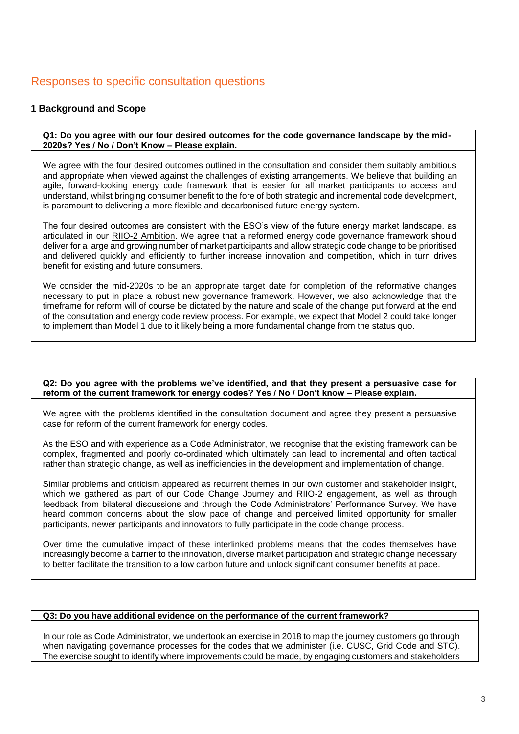## Responses to specific consultation questions

## **1 Background and Scope**

**Q1: Do you agree with our four desired outcomes for the code governance landscape by the mid-2020s? Yes / No / Don't Know – Please explain.** 

We agree with the four desired outcomes outlined in the consultation and consider them suitably ambitious and appropriate when viewed against the challenges of existing arrangements. We believe that building an agile, forward-looking energy code framework that is easier for all market participants to access and understand, whilst bringing consumer benefit to the fore of both strategic and incremental code development, is paramount to delivering a more flexible and decarbonised future energy system.

The four desired outcomes are consistent with the ESO's view of the future energy market landscape, as articulated in our [RIIO-2 Ambition.](https://www.nationalgrideso.com/document/141256/download) We agree that a reformed energy code governance framework should deliver for a large and growing number of market participants and allow strategic code change to be prioritised and delivered quickly and efficiently to further increase innovation and competition, which in turn drives benefit for existing and future consumers.

We consider the mid-2020s to be an appropriate target date for completion of the reformative changes necessary to put in place a robust new governance framework. However, we also acknowledge that the timeframe for reform will of course be dictated by the nature and scale of the change put forward at the end of the consultation and energy code review process. For example, we expect that Model 2 could take longer to implement than Model 1 due to it likely being a more fundamental change from the status quo.

#### **Q2: Do you agree with the problems we've identified, and that they present a persuasive case for reform of the current framework for energy codes? Yes / No / Don't know – Please explain.**

We agree with the problems identified in the consultation document and agree they present a persuasive case for reform of the current framework for energy codes.

As the ESO and with experience as a Code Administrator, we recognise that the existing framework can be complex, fragmented and poorly co-ordinated which ultimately can lead to incremental and often tactical rather than strategic change, as well as inefficiencies in the development and implementation of change.

Similar problems and criticism appeared as recurrent themes in our own customer and stakeholder insight, which we gathered as part of our Code Change Journey and RIIO-2 engagement, as well as through feedback from bilateral discussions and through the Code Administrators' Performance Survey. We have heard common concerns about the slow pace of change and perceived limited opportunity for smaller participants, newer participants and innovators to fully participate in the code change process.

Over time the cumulative impact of these interlinked problems means that the codes themselves have increasingly become a barrier to the innovation, diverse market participation and strategic change necessary to better facilitate the transition to a low carbon future and unlock significant consumer benefits at pace.

## **Q3: Do you have additional evidence on the performance of the current framework?**

In our role as Code Administrator, we undertook an exercise in 2018 to map the journey customers go through when navigating governance processes for the codes that we administer (i.e. CUSC, Grid Code and STC). The exercise sought to identify where improvements could be made, by engaging customers and stakeholders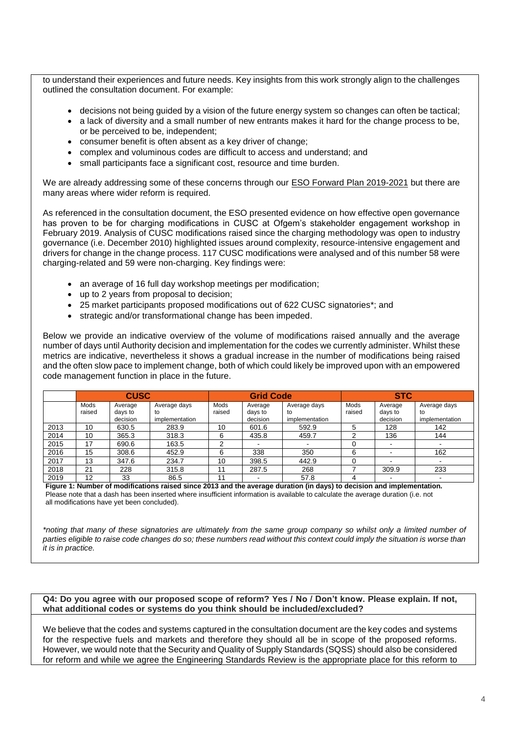to understand their experiences and future needs. Key insights from this work strongly align to the challenges outlined the consultation document. For example:

- decisions not being guided by a vision of the future energy system so changes can often be tactical;
- a lack of diversity and a small number of new entrants makes it hard for the change process to be, or be perceived to be, independent;
- consumer benefit is often absent as a key driver of change;
- complex and voluminous codes are difficult to access and understand; and
- small participants face a significant cost, resource and time burden.

We are already addressing some of these concerns through our [ESO Forward Plan 2019-2021](https://www.nationalgrideso.com/document/140736/download) but there are many areas where wider reform is required.

As referenced in the consultation document, the ESO presented evidence on how effective open governance has proven to be for charging modifications in CUSC at Ofgem's stakeholder engagement workshop in February 2019. Analysis of CUSC modifications raised since the charging methodology was open to industry governance (i.e. December 2010) highlighted issues around complexity, resource-intensive engagement and drivers for change in the change process. 117 CUSC modifications were analysed and of this number 58 were charging-related and 59 were non-charging. Key findings were:

- an average of 16 full day workshop meetings per modification;
- up to 2 years from proposal to decision;
- 25 market participants proposed modifications out of 622 CUSC signatories\*; and
- strategic and/or transformational change has been impeded.

Below we provide an indicative overview of the volume of modifications raised annually and the average number of days until Authority decision and implementation for the codes we currently administer. Whilst these metrics are indicative, nevertheless it shows a gradual increase in the number of modifications being raised and the often slow pace to implement change, both of which could likely be improved upon with an empowered code management function in place in the future.

|      | <b>CUSC</b>    |                                |                                      | <b>Grid Code</b> |                                |                                      | <b>STC</b>     |                                |                                      |
|------|----------------|--------------------------------|--------------------------------------|------------------|--------------------------------|--------------------------------------|----------------|--------------------------------|--------------------------------------|
|      | Mods<br>raised | Average<br>days to<br>decision | Average days<br>to<br>implementation | Mods<br>raised   | Average<br>days to<br>decision | Average days<br>to<br>implementation | Mods<br>raised | Average<br>days to<br>decision | Average days<br>to<br>implementation |
| 2013 | 10             | 630.5                          | 283.9                                | 10               | 601.6                          | 592.9                                |                | 128                            | 142                                  |
| 2014 | 10             | 365.3                          | 318.3                                | 6                | 435.8                          | 459.7                                | ◠              | 136                            | 144                                  |
| 2015 | 17             | 690.6                          | 163.5                                | ⌒                |                                |                                      |                | -                              |                                      |
| 2016 | 15             | 308.6                          | 452.9                                | 6                | 338                            | 350                                  | 6              |                                | 162                                  |
| 2017 | 13             | 347.6                          | 234.7                                | 10               | 398.5                          | 442.9                                |                |                                |                                      |
| 2018 | 21             | 228                            | 315.8                                | 11               | 287.5                          | 268                                  |                | 309.9                          | 233                                  |
| 2019 | 12             | 33                             | 86.5                                 | 11               | -                              | 57.8                                 |                |                                |                                      |

 **Figure 1: Number of modifications raised since 2013 and the average duration (in days) to decision and implementation.** Please note that a dash has been inserted where insufficient information is available to calculate the average duration (i.e. not all modifications have yet been concluded).

*\*noting that many of these signatories are ultimately from the same group company so whilst only a limited number of parties eligible to raise code changes do so; these numbers read without this context could imply the situation is worse than it is in practice.*

## **Q4: Do you agree with our proposed scope of reform? Yes / No / Don't know. Please explain. If not, what additional codes or systems do you think should be included/excluded?**

We believe that the codes and systems captured in the consultation document are the key codes and systems for the respective fuels and markets and therefore they should all be in scope of the proposed reforms. However, we would note that the Security and Quality of Supply Standards (SQSS) should also be considered for reform and while we agree the Engineering Standards Review is the appropriate place for this reform to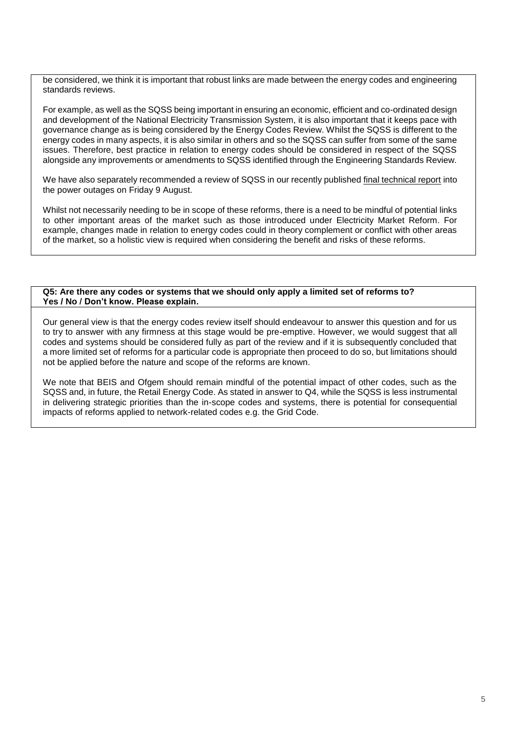be considered, we think it is important that robust links are made between the energy codes and engineering standards reviews.

For example, as well as the SQSS being important in ensuring an economic, efficient and co-ordinated design and development of the National Electricity Transmission System, it is also important that it keeps pace with governance change as is being considered by the Energy Codes Review. Whilst the SQSS is different to the energy codes in many aspects, it is also similar in others and so the SQSS can suffer from some of the same issues. Therefore, best practice in relation to energy codes should be considered in respect of the SQSS alongside any improvements or amendments to SQSS identified through the Engineering Standards Review.

We have also separately recommended a review of SQSS in our recently published [final technical report](https://www.nationalgrideso.com/information-about-great-britains-energy-system-and-electricity-system-operator-eso) into the power outages on Friday 9 August.

Whilst not necessarily needing to be in scope of these reforms, there is a need to be mindful of potential links to other important areas of the market such as those introduced under Electricity Market Reform. For example, changes made in relation to energy codes could in theory complement or conflict with other areas of the market, so a holistic view is required when considering the benefit and risks of these reforms.

## **Q5: Are there any codes or systems that we should only apply a limited set of reforms to? Yes / No / Don't know. Please explain.**

Our general view is that the energy codes review itself should endeavour to answer this question and for us to try to answer with any firmness at this stage would be pre-emptive. However, we would suggest that all codes and systems should be considered fully as part of the review and if it is subsequently concluded that a more limited set of reforms for a particular code is appropriate then proceed to do so, but limitations should not be applied before the nature and scope of the reforms are known.

We note that BEIS and Ofgem should remain mindful of the potential impact of other codes, such as the SQSS and, in future, the Retail Energy Code. As stated in answer to Q4, while the SQSS is less instrumental in delivering strategic priorities than the in-scope codes and systems, there is potential for consequential impacts of reforms applied to network-related codes e.g. the Grid Code.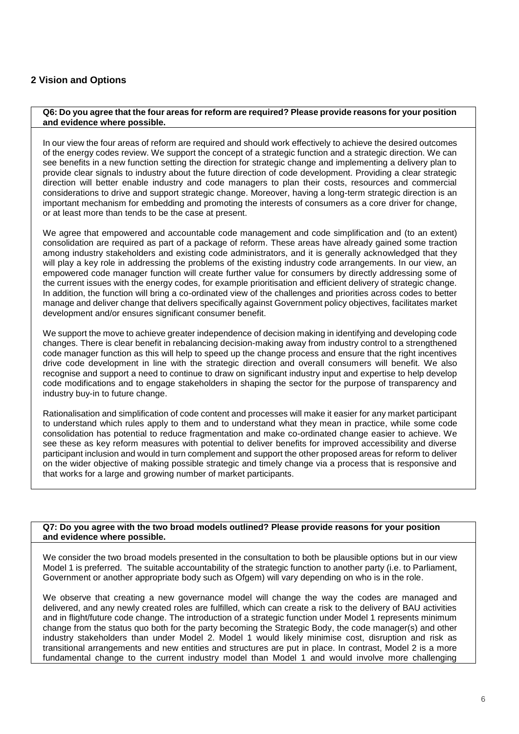## **2 Vision and Options**

## **Q6: Do you agree that the four areas for reform are required? Please provide reasons for your position and evidence where possible.**

In our view the four areas of reform are required and should work effectively to achieve the desired outcomes of the energy codes review. We support the concept of a strategic function and a strategic direction. We can see benefits in a new function setting the direction for strategic change and implementing a delivery plan to provide clear signals to industry about the future direction of code development. Providing a clear strategic direction will better enable industry and code managers to plan their costs, resources and commercial considerations to drive and support strategic change. Moreover, having a long-term strategic direction is an important mechanism for embedding and promoting the interests of consumers as a core driver for change, or at least more than tends to be the case at present.

We agree that empowered and accountable code management and code simplification and (to an extent) consolidation are required as part of a package of reform. These areas have already gained some traction among industry stakeholders and existing code administrators, and it is generally acknowledged that they will play a key role in addressing the problems of the existing industry code arrangements. In our view, an empowered code manager function will create further value for consumers by directly addressing some of the current issues with the energy codes, for example prioritisation and efficient delivery of strategic change. In addition, the function will bring a co-ordinated view of the challenges and priorities across codes to better manage and deliver change that delivers specifically against Government policy objectives, facilitates market development and/or ensures significant consumer benefit.

We support the move to achieve greater independence of decision making in identifying and developing code changes. There is clear benefit in rebalancing decision-making away from industry control to a strengthened code manager function as this will help to speed up the change process and ensure that the right incentives drive code development in line with the strategic direction and overall consumers will benefit. We also recognise and support a need to continue to draw on significant industry input and expertise to help develop code modifications and to engage stakeholders in shaping the sector for the purpose of transparency and industry buy-in to future change.

Rationalisation and simplification of code content and processes will make it easier for any market participant to understand which rules apply to them and to understand what they mean in practice, while some code consolidation has potential to reduce fragmentation and make co-ordinated change easier to achieve. We see these as key reform measures with potential to deliver benefits for improved accessibility and diverse participant inclusion and would in turn complement and support the other proposed areas for reform to deliver on the wider objective of making possible strategic and timely change via a process that is responsive and that works for a large and growing number of market participants.

## **Q7: Do you agree with the two broad models outlined? Please provide reasons for your position and evidence where possible.**

We consider the two broad models presented in the consultation to both be plausible options but in our view Model 1 is preferred. The suitable accountability of the strategic function to another party (i.e. to Parliament, Government or another appropriate body such as Ofgem) will vary depending on who is in the role.

We observe that creating a new governance model will change the way the codes are managed and delivered, and any newly created roles are fulfilled, which can create a risk to the delivery of BAU activities and in flight/future code change. The introduction of a strategic function under Model 1 represents minimum change from the status quo both for the party becoming the Strategic Body, the code manager(s) and other industry stakeholders than under Model 2. Model 1 would likely minimise cost, disruption and risk as transitional arrangements and new entities and structures are put in place. In contrast, Model 2 is a more fundamental change to the current industry model than Model 1 and would involve more challenging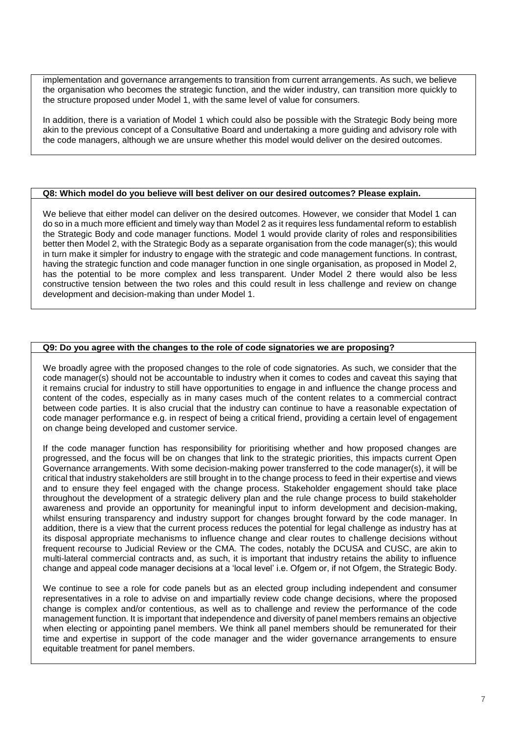implementation and governance arrangements to transition from current arrangements. As such, we believe the organisation who becomes the strategic function, and the wider industry, can transition more quickly to the structure proposed under Model 1, with the same level of value for consumers.

In addition, there is a variation of Model 1 which could also be possible with the Strategic Body being more akin to the previous concept of a Consultative Board and undertaking a more guiding and advisory role with the code managers, although we are unsure whether this model would deliver on the desired outcomes.

## **Q8: Which model do you believe will best deliver on our desired outcomes? Please explain.**

We believe that either model can deliver on the desired outcomes. However, we consider that Model 1 can do so in a much more efficient and timely way than Model 2 as it requires less fundamental reform to establish the Strategic Body and code manager functions. Model 1 would provide clarity of roles and responsibilities better then Model 2, with the Strategic Body as a separate organisation from the code manager(s); this would in turn make it simpler for industry to engage with the strategic and code management functions. In contrast, having the strategic function and code manager function in one single organisation, as proposed in Model 2, has the potential to be more complex and less transparent. Under Model 2 there would also be less constructive tension between the two roles and this could result in less challenge and review on change development and decision-making than under Model 1.

## **Q9: Do you agree with the changes to the role of code signatories we are proposing?**

We broadly agree with the proposed changes to the role of code signatories. As such, we consider that the code manager(s) should not be accountable to industry when it comes to codes and caveat this saying that it remains crucial for industry to still have opportunities to engage in and influence the change process and content of the codes, especially as in many cases much of the content relates to a commercial contract between code parties. It is also crucial that the industry can continue to have a reasonable expectation of code manager performance e.g. in respect of being a critical friend, providing a certain level of engagement on change being developed and customer service.

If the code manager function has responsibility for prioritising whether and how proposed changes are progressed, and the focus will be on changes that link to the strategic priorities, this impacts current Open Governance arrangements. With some decision-making power transferred to the code manager(s), it will be critical that industry stakeholders are still brought in to the change process to feed in their expertise and views and to ensure they feel engaged with the change process. Stakeholder engagement should take place throughout the development of a strategic delivery plan and the rule change process to build stakeholder awareness and provide an opportunity for meaningful input to inform development and decision-making, whilst ensuring transparency and industry support for changes brought forward by the code manager. In addition, there is a view that the current process reduces the potential for legal challenge as industry has at its disposal appropriate mechanisms to influence change and clear routes to challenge decisions without frequent recourse to Judicial Review or the CMA. The codes, notably the DCUSA and CUSC, are akin to multi-lateral commercial contracts and, as such, it is important that industry retains the ability to influence change and appeal code manager decisions at a 'local level' i.e. Ofgem or, if not Ofgem, the Strategic Body.

We continue to see a role for code panels but as an elected group including independent and consumer representatives in a role to advise on and impartially review code change decisions, where the proposed change is complex and/or contentious, as well as to challenge and review the performance of the code management function. It is important that independence and diversity of panel members remains an objective when electing or appointing panel members. We think all panel members should be remunerated for their time and expertise in support of the code manager and the wider governance arrangements to ensure equitable treatment for panel members.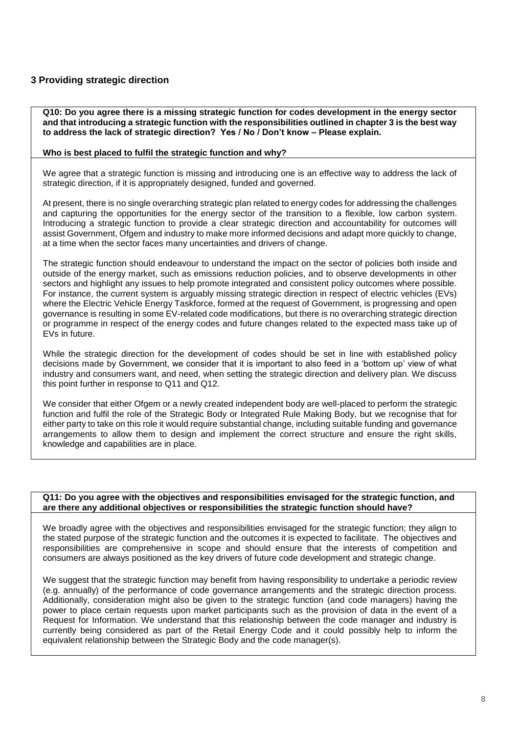## **3 Providing strategic direction**

**Q10: Do you agree there is a missing strategic function for codes development in the energy sector and that introducing a strategic function with the responsibilities outlined in chapter 3 is the best way to address the lack of strategic direction? Yes / No / Don't know – Please explain.**

## **Who is best placed to fulfil the strategic function and why?**

We agree that a strategic function is missing and introducing one is an effective way to address the lack of strategic direction, if it is appropriately designed, funded and governed.

At present, there is no single overarching strategic plan related to energy codes for addressing the challenges and capturing the opportunities for the energy sector of the transition to a flexible, low carbon system. Introducing a strategic function to provide a clear strategic direction and accountability for outcomes will assist Government, Ofgem and industry to make more informed decisions and adapt more quickly to change, at a time when the sector faces many uncertainties and drivers of change.

The strategic function should endeavour to understand the impact on the sector of policies both inside and outside of the energy market, such as emissions reduction policies, and to observe developments in other sectors and highlight any issues to help promote integrated and consistent policy outcomes where possible. For instance, the current system is arguably missing strategic direction in respect of electric vehicles (EVs) where the Electric Vehicle Energy Taskforce, formed at the request of Government, is progressing and open governance is resulting in some EV-related code modifications, but there is no overarching strategic direction or programme in respect of the energy codes and future changes related to the expected mass take up of EVs in future.

While the strategic direction for the development of codes should be set in line with established policy decisions made by Government, we consider that it is important to also feed in a 'bottom up' view of what industry and consumers want, and need, when setting the strategic direction and delivery plan. We discuss this point further in response to Q11 and Q12.

We consider that either Ofgem or a newly created independent body are well-placed to perform the strategic function and fulfil the role of the Strategic Body or Integrated Rule Making Body, but we recognise that for either party to take on this role it would require substantial change, including suitable funding and governance arrangements to allow them to design and implement the correct structure and ensure the right skills, knowledge and capabilities are in place.

## **Q11: Do you agree with the objectives and responsibilities envisaged for the strategic function, and are there any additional objectives or responsibilities the strategic function should have?**

We broadly agree with the objectives and responsibilities envisaged for the strategic function; they align to the stated purpose of the strategic function and the outcomes it is expected to facilitate. The objectives and responsibilities are comprehensive in scope and should ensure that the interests of competition and consumers are always positioned as the key drivers of future code development and strategic change.

We suggest that the strategic function may benefit from having responsibility to undertake a periodic review (e.g. annually) of the performance of code governance arrangements and the strategic direction process. Additionally, consideration might also be given to the strategic function (and code managers) having the power to place certain requests upon market participants such as the provision of data in the event of a Request for Information. We understand that this relationship between the code manager and industry is currently being considered as part of the Retail Energy Code and it could possibly help to inform the equivalent relationship between the Strategic Body and the code manager(s).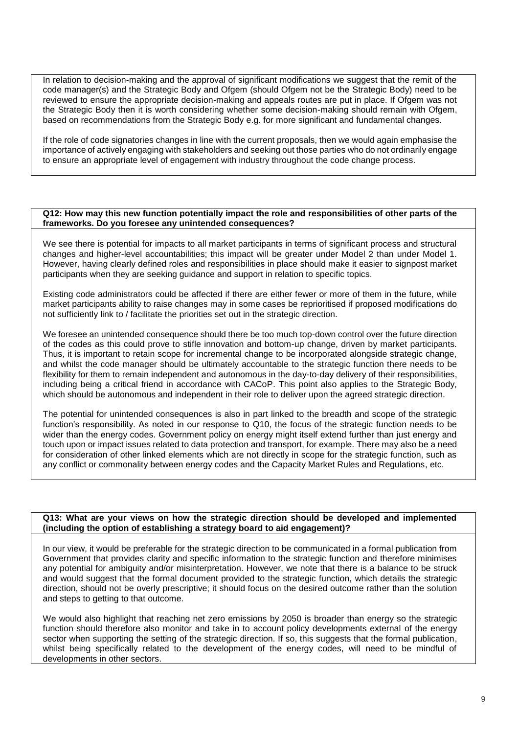In relation to decision-making and the approval of significant modifications we suggest that the remit of the code manager(s) and the Strategic Body and Ofgem (should Ofgem not be the Strategic Body) need to be reviewed to ensure the appropriate decision-making and appeals routes are put in place. If Ofgem was not the Strategic Body then it is worth considering whether some decision-making should remain with Ofgem, based on recommendations from the Strategic Body e.g. for more significant and fundamental changes.

If the role of code signatories changes in line with the current proposals, then we would again emphasise the importance of actively engaging with stakeholders and seeking out those parties who do not ordinarily engage to ensure an appropriate level of engagement with industry throughout the code change process.

## **Q12: How may this new function potentially impact the role and responsibilities of other parts of the frameworks. Do you foresee any unintended consequences?**

We see there is potential for impacts to all market participants in terms of significant process and structural changes and higher-level accountabilities; this impact will be greater under Model 2 than under Model 1. However, having clearly defined roles and responsibilities in place should make it easier to signpost market participants when they are seeking guidance and support in relation to specific topics.

Existing code administrators could be affected if there are either fewer or more of them in the future, while market participants ability to raise changes may in some cases be reprioritised if proposed modifications do not sufficiently link to / facilitate the priorities set out in the strategic direction.

We foresee an unintended consequence should there be too much top-down control over the future direction of the codes as this could prove to stifle innovation and bottom-up change, driven by market participants. Thus, it is important to retain scope for incremental change to be incorporated alongside strategic change, and whilst the code manager should be ultimately accountable to the strategic function there needs to be flexibility for them to remain independent and autonomous in the day-to-day delivery of their responsibilities, including being a critical friend in accordance with CACoP. This point also applies to the Strategic Body, which should be autonomous and independent in their role to deliver upon the agreed strategic direction.

The potential for unintended consequences is also in part linked to the breadth and scope of the strategic function's responsibility. As noted in our response to Q10, the focus of the strategic function needs to be wider than the energy codes. Government policy on energy might itself extend further than just energy and touch upon or impact issues related to data protection and transport, for example. There may also be a need for consideration of other linked elements which are not directly in scope for the strategic function, such as any conflict or commonality between energy codes and the Capacity Market Rules and Regulations, etc.

## **Q13: What are your views on how the strategic direction should be developed and implemented (including the option of establishing a strategy board to aid engagement)?**

In our view, it would be preferable for the strategic direction to be communicated in a formal publication from Government that provides clarity and specific information to the strategic function and therefore minimises any potential for ambiguity and/or misinterpretation. However, we note that there is a balance to be struck and would suggest that the formal document provided to the strategic function, which details the strategic direction, should not be overly prescriptive; it should focus on the desired outcome rather than the solution and steps to getting to that outcome.

We would also highlight that reaching net zero emissions by 2050 is broader than energy so the strategic function should therefore also monitor and take in to account policy developments external of the energy sector when supporting the setting of the strategic direction. If so, this suggests that the formal publication, whilst being specifically related to the development of the energy codes, will need to be mindful of developments in other sectors.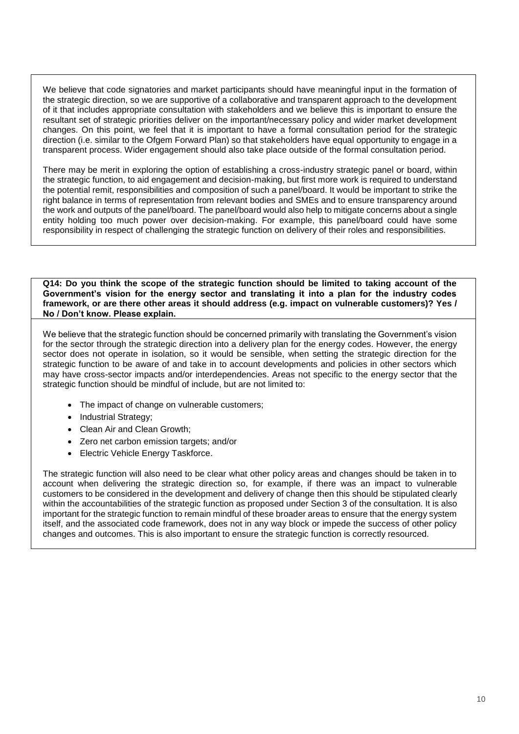We believe that code signatories and market participants should have meaningful input in the formation of the strategic direction, so we are supportive of a collaborative and transparent approach to the development of it that includes appropriate consultation with stakeholders and we believe this is important to ensure the resultant set of strategic priorities deliver on the important/necessary policy and wider market development changes. On this point, we feel that it is important to have a formal consultation period for the strategic direction (i.e. similar to the Ofgem Forward Plan) so that stakeholders have equal opportunity to engage in a transparent process. Wider engagement should also take place outside of the formal consultation period.

There may be merit in exploring the option of establishing a cross-industry strategic panel or board, within the strategic function, to aid engagement and decision-making, but first more work is required to understand the potential remit, responsibilities and composition of such a panel/board. It would be important to strike the right balance in terms of representation from relevant bodies and SMEs and to ensure transparency around the work and outputs of the panel/board. The panel/board would also help to mitigate concerns about a single entity holding too much power over decision-making. For example, this panel/board could have some responsibility in respect of challenging the strategic function on delivery of their roles and responsibilities.

**Q14: Do you think the scope of the strategic function should be limited to taking account of the Government's vision for the energy sector and translating it into a plan for the industry codes framework, or are there other areas it should address (e.g. impact on vulnerable customers)? Yes / No / Don't know. Please explain.** 

We believe that the strategic function should be concerned primarily with translating the Government's vision for the sector through the strategic direction into a delivery plan for the energy codes. However, the energy sector does not operate in isolation, so it would be sensible, when setting the strategic direction for the strategic function to be aware of and take in to account developments and policies in other sectors which may have cross-sector impacts and/or interdependencies. Areas not specific to the energy sector that the strategic function should be mindful of include, but are not limited to:

- The impact of change on vulnerable customers;
- Industrial Strategy;
- Clean Air and Clean Growth;
- Zero net carbon emission targets; and/or
- Electric Vehicle Energy Taskforce.

The strategic function will also need to be clear what other policy areas and changes should be taken in to account when delivering the strategic direction so, for example, if there was an impact to vulnerable customers to be considered in the development and delivery of change then this should be stipulated clearly within the accountabilities of the strategic function as proposed under Section 3 of the consultation. It is also important for the strategic function to remain mindful of these broader areas to ensure that the energy system itself, and the associated code framework, does not in any way block or impede the success of other policy changes and outcomes. This is also important to ensure the strategic function is correctly resourced.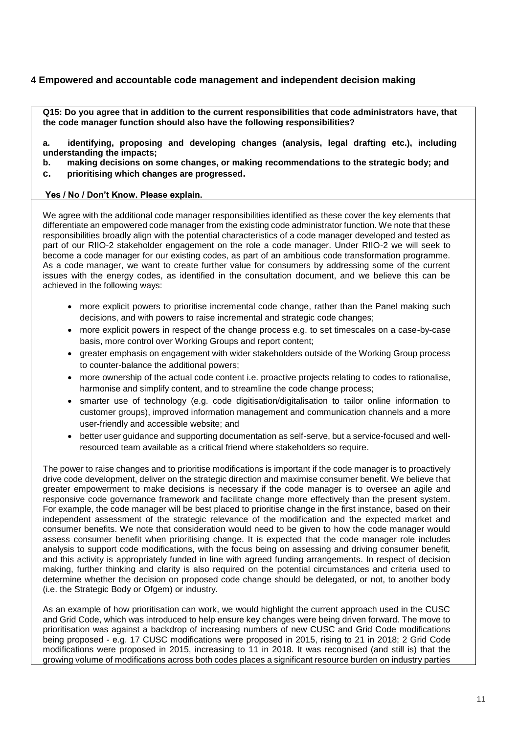## **4 Empowered and accountable code management and independent decision making**

**Q15: Do you agree that in addition to the current responsibilities that code administrators have, that the code manager function should also have the following responsibilities?**

**a. identifying, proposing and developing changes (analysis, legal drafting etc.), including understanding the impacts;**

- **b. making decisions on some changes, or making recommendations to the strategic body; and**
- **c. prioritising which changes are progressed.**

## **Yes / No / Don't Know. Please explain.**

We agree with the additional code manager responsibilities identified as these cover the key elements that differentiate an empowered code manager from the existing code administrator function. We note that these responsibilities broadly align with the potential characteristics of a code manager developed and tested as part of our RIIO-2 stakeholder engagement on the role a code manager. Under RIIO-2 we will seek to become a code manager for our existing codes, as part of an ambitious code transformation programme. As a code manager, we want to create further value for consumers by addressing some of the current issues with the energy codes, as identified in the consultation document, and we believe this can be achieved in the following ways:

- more explicit powers to prioritise incremental code change, rather than the Panel making such decisions, and with powers to raise incremental and strategic code changes;
- more explicit powers in respect of the change process e.g. to set timescales on a case-by-case basis, more control over Working Groups and report content;
- greater emphasis on engagement with wider stakeholders outside of the Working Group process to counter-balance the additional powers;
- more ownership of the actual code content i.e. proactive projects relating to codes to rationalise, harmonise and simplify content, and to streamline the code change process:
- smarter use of technology (e.g. code digitisation/digitalisation to tailor online information to customer groups), improved information management and communication channels and a more user-friendly and accessible website; and
- better user guidance and supporting documentation as self-serve, but a service-focused and wellresourced team available as a critical friend where stakeholders so require.

The power to raise changes and to prioritise modifications is important if the code manager is to proactively drive code development, deliver on the strategic direction and maximise consumer benefit. We believe that greater empowerment to make decisions is necessary if the code manager is to oversee an agile and responsive code governance framework and facilitate change more effectively than the present system. For example, the code manager will be best placed to prioritise change in the first instance, based on their independent assessment of the strategic relevance of the modification and the expected market and consumer benefits. We note that consideration would need to be given to how the code manager would assess consumer benefit when prioritising change. It is expected that the code manager role includes analysis to support code modifications, with the focus being on assessing and driving consumer benefit, and this activity is appropriately funded in line with agreed funding arrangements. In respect of decision making, further thinking and clarity is also required on the potential circumstances and criteria used to determine whether the decision on proposed code change should be delegated, or not, to another body (i.e. the Strategic Body or Ofgem) or industry.

As an example of how prioritisation can work, we would highlight the current approach used in the CUSC and Grid Code, which was introduced to help ensure key changes were being driven forward. The move to prioritisation was against a backdrop of increasing numbers of new CUSC and Grid Code modifications being proposed - e.g. 17 CUSC modifications were proposed in 2015, rising to 21 in 2018; 2 Grid Code modifications were proposed in 2015, increasing to 11 in 2018. It was recognised (and still is) that the growing volume of modifications across both codes places a significant resource burden on industry parties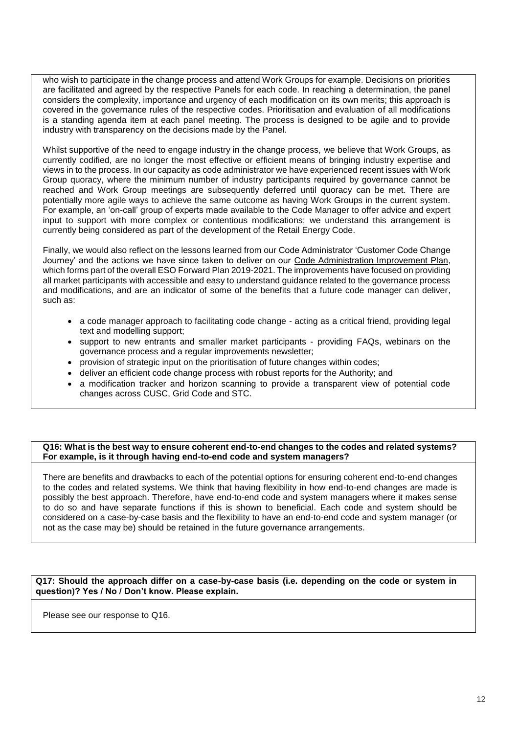who wish to participate in the change process and attend Work Groups for example. Decisions on priorities are facilitated and agreed by the respective Panels for each code. In reaching a determination, the panel considers the complexity, importance and urgency of each modification on its own merits; this approach is covered in the governance rules of the respective codes. Prioritisation and evaluation of all modifications is a standing agenda item at each panel meeting. The process is designed to be agile and to provide industry with transparency on the decisions made by the Panel.

Whilst supportive of the need to engage industry in the change process, we believe that Work Groups, as currently codified, are no longer the most effective or efficient means of bringing industry expertise and views in to the process. In our capacity as code administrator we have experienced recent issues with Work Group quoracy, where the minimum number of industry participants required by governance cannot be reached and Work Group meetings are subsequently deferred until quoracy can be met. There are potentially more agile ways to achieve the same outcome as having Work Groups in the current system. For example, an 'on-call' group of experts made available to the Code Manager to offer advice and expert input to support with more complex or contentious modifications; we understand this arrangement is currently being considered as part of the development of the Retail Energy Code.

Finally, we would also reflect on the lessons learned from our Code Administrator 'Customer Code Change Journey' and the actions we have since taken to deliver on our [Code Administration Improvement Plan,](https://www.nationalgrideso.com/eso-code-administrator-improvements-page) which forms part of the overall ESO Forward Plan 2019-2021. The improvements have focused on providing all market participants with accessible and easy to understand guidance related to the governance process and modifications, and are an indicator of some of the benefits that a future code manager can deliver, such as:

- a code manager approach to facilitating code change acting as a critical friend, providing legal text and modelling support;
- support to new entrants and smaller market participants providing FAQs, webinars on the governance process and a regular improvements newsletter;
- provision of strategic input on the prioritisation of future changes within codes;
- deliver an efficient code change process with robust reports for the Authority; and
- a modification tracker and horizon scanning to provide a transparent view of potential code changes across CUSC, Grid Code and STC.

## **Q16: What is the best way to ensure coherent end-to-end changes to the codes and related systems? For example, is it through having end-to-end code and system managers?**

There are benefits and drawbacks to each of the potential options for ensuring coherent end-to-end changes to the codes and related systems. We think that having flexibility in how end-to-end changes are made is possibly the best approach. Therefore, have end-to-end code and system managers where it makes sense to do so and have separate functions if this is shown to beneficial. Each code and system should be considered on a case-by-case basis and the flexibility to have an end-to-end code and system manager (or not as the case may be) should be retained in the future governance arrangements.

## **Q17: Should the approach differ on a case-by-case basis (i.e. depending on the code or system in question)? Yes / No / Don't know. Please explain.**

Please see our response to Q16.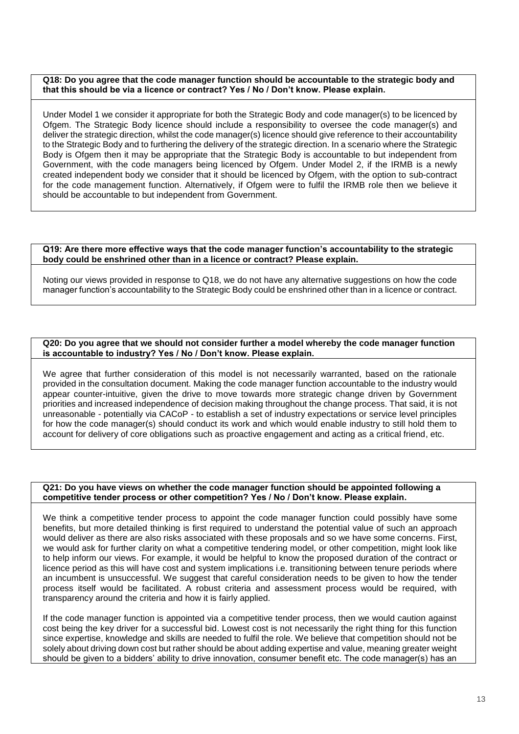## **Q18: Do you agree that the code manager function should be accountable to the strategic body and that this should be via a licence or contract? Yes / No / Don't know. Please explain.**

Under Model 1 we consider it appropriate for both the Strategic Body and code manager(s) to be licenced by Ofgem. The Strategic Body licence should include a responsibility to oversee the code manager(s) and deliver the strategic direction, whilst the code manager(s) licence should give reference to their accountability to the Strategic Body and to furthering the delivery of the strategic direction. In a scenario where the Strategic Body is Ofgem then it may be appropriate that the Strategic Body is accountable to but independent from Government, with the code managers being licenced by Ofgem. Under Model 2, if the IRMB is a newly created independent body we consider that it should be licenced by Ofgem, with the option to sub-contract for the code management function. Alternatively, if Ofgem were to fulfil the IRMB role then we believe it should be accountable to but independent from Government.

## **Q19: Are there more effective ways that the code manager function's accountability to the strategic body could be enshrined other than in a licence or contract? Please explain.**

Noting our views provided in response to Q18, we do not have any alternative suggestions on how the code manager function's accountability to the Strategic Body could be enshrined other than in a licence or contract.

## **Q20: Do you agree that we should not consider further a model whereby the code manager function is accountable to industry? Yes / No / Don't know. Please explain.**

We agree that further consideration of this model is not necessarily warranted, based on the rationale provided in the consultation document. Making the code manager function accountable to the industry would appear counter-intuitive, given the drive to move towards more strategic change driven by Government priorities and increased independence of decision making throughout the change process. That said, it is not unreasonable - potentially via CACoP - to establish a set of industry expectations or service level principles for how the code manager(s) should conduct its work and which would enable industry to still hold them to account for delivery of core obligations such as proactive engagement and acting as a critical friend, etc.

## **Q21: Do you have views on whether the code manager function should be appointed following a competitive tender process or other competition? Yes / No / Don't know. Please explain.**

We think a competitive tender process to appoint the code manager function could possibly have some benefits, but more detailed thinking is first required to understand the potential value of such an approach would deliver as there are also risks associated with these proposals and so we have some concerns. First, we would ask for further clarity on what a competitive tendering model, or other competition, might look like to help inform our views. For example, it would be helpful to know the proposed duration of the contract or licence period as this will have cost and system implications i.e. transitioning between tenure periods where an incumbent is unsuccessful. We suggest that careful consideration needs to be given to how the tender process itself would be facilitated. A robust criteria and assessment process would be required, with transparency around the criteria and how it is fairly applied.

If the code manager function is appointed via a competitive tender process, then we would caution against cost being the key driver for a successful bid. Lowest cost is not necessarily the right thing for this function since expertise, knowledge and skills are needed to fulfil the role. We believe that competition should not be solely about driving down cost but rather should be about adding expertise and value, meaning greater weight should be given to a bidders' ability to drive innovation, consumer benefit etc. The code manager(s) has an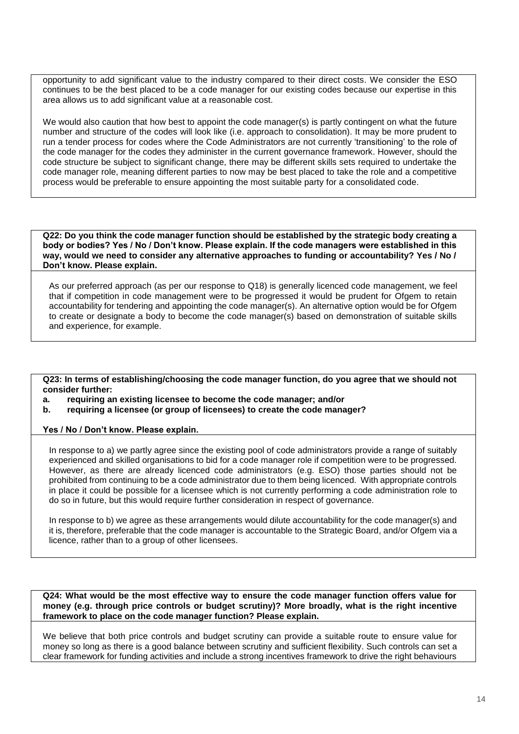opportunity to add significant value to the industry compared to their direct costs. We consider the ESO continues to be the best placed to be a code manager for our existing codes because our expertise in this area allows us to add significant value at a reasonable cost.

We would also caution that how best to appoint the code manager(s) is partly contingent on what the future number and structure of the codes will look like (i.e. approach to consolidation). It may be more prudent to run a tender process for codes where the Code Administrators are not currently 'transitioning' to the role of the code manager for the codes they administer in the current governance framework. However, should the code structure be subject to significant change, there may be different skills sets required to undertake the code manager role, meaning different parties to now may be best placed to take the role and a competitive process would be preferable to ensure appointing the most suitable party for a consolidated code.

**Q22: Do you think the code manager function should be established by the strategic body creating a body or bodies? Yes / No / Don't know. Please explain. If the code managers were established in this way, would we need to consider any alternative approaches to funding or accountability? Yes / No / Don't know. Please explain.**

As our preferred approach (as per our response to Q18) is generally licenced code management, we feel that if competition in code management were to be progressed it would be prudent for Ofgem to retain accountability for tendering and appointing the code manager(s). An alternative option would be for Ofgem to create or designate a body to become the code manager(s) based on demonstration of suitable skills and experience, for example.

**Q23: In terms of establishing/choosing the code manager function, do you agree that we should not consider further:**

**a. requiring an existing licensee to become the code manager; and/or**

**b. requiring a licensee (or group of licensees) to create the code manager?**

**Yes / No / Don't know. Please explain.**

In response to a) we partly agree since the existing pool of code administrators provide a range of suitably experienced and skilled organisations to bid for a code manager role if competition were to be progressed. However, as there are already licenced code administrators (e.g. ESO) those parties should not be prohibited from continuing to be a code administrator due to them being licenced. With appropriate controls in place it could be possible for a licensee which is not currently performing a code administration role to do so in future, but this would require further consideration in respect of governance.

In response to b) we agree as these arrangements would dilute accountability for the code manager(s) and it is, therefore, preferable that the code manager is accountable to the Strategic Board, and/or Ofgem via a licence, rather than to a group of other licensees.

**Q24: What would be the most effective way to ensure the code manager function offers value for money (e.g. through price controls or budget scrutiny)? More broadly, what is the right incentive framework to place on the code manager function? Please explain.**

We believe that both price controls and budget scrutiny can provide a suitable route to ensure value for money so long as there is a good balance between scrutiny and sufficient flexibility. Such controls can set a clear framework for funding activities and include a strong incentives framework to drive the right behaviours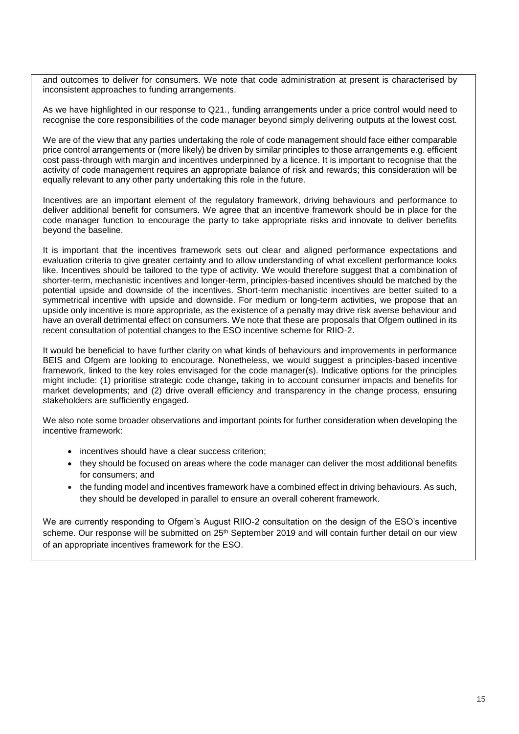and outcomes to deliver for consumers. We note that code administration at present is characterised by inconsistent approaches to funding arrangements.

As we have highlighted in our response to Q21., funding arrangements under a price control would need to recognise the core responsibilities of the code manager beyond simply delivering outputs at the lowest cost.

We are of the view that any parties undertaking the role of code management should face either comparable price control arrangements or (more likely) be driven by similar principles to those arrangements e.g. efficient cost pass-through with margin and incentives underpinned by a licence. It is important to recognise that the activity of code management requires an appropriate balance of risk and rewards; this consideration will be equally relevant to any other party undertaking this role in the future.

Incentives are an important element of the regulatory framework, driving behaviours and performance to deliver additional benefit for consumers. We agree that an incentive framework should be in place for the code manager function to encourage the party to take appropriate risks and innovate to deliver benefits beyond the baseline.

It is important that the incentives framework sets out clear and aligned performance expectations and evaluation criteria to give greater certainty and to allow understanding of what excellent performance looks like. Incentives should be tailored to the type of activity. We would therefore suggest that a combination of shorter-term, mechanistic incentives and longer-term, principles-based incentives should be matched by the potential upside and downside of the incentives. Short-term mechanistic incentives are better suited to a symmetrical incentive with upside and downside. For medium or long-term activities, we propose that an upside only incentive is more appropriate, as the existence of a penalty may drive risk averse behaviour and have an overall detrimental effect on consumers. We note that these are proposals that Ofgem outlined in its recent consultation of potential changes to the ESO incentive scheme for RIIO-2.

It would be beneficial to have further clarity on what kinds of behaviours and improvements in performance BEIS and Ofgem are looking to encourage. Nonetheless, we would suggest a principles-based incentive framework, linked to the key roles envisaged for the code manager(s). Indicative options for the principles might include: (1) prioritise strategic code change, taking in to account consumer impacts and benefits for market developments; and (2) drive overall efficiency and transparency in the change process, ensuring stakeholders are sufficiently engaged.

We also note some broader observations and important points for further consideration when developing the incentive framework:

- incentives should have a clear success criterion;
- they should be focused on areas where the code manager can deliver the most additional benefits for consumers; and
- the funding model and incentives framework have a combined effect in driving behaviours. As such, they should be developed in parallel to ensure an overall coherent framework.

We are currently responding to Ofgem's August RIIO-2 consultation on the design of the ESO's incentive scheme. Our response will be submitted on 25<sup>th</sup> September 2019 and will contain further detail on our view of an appropriate incentives framework for the ESO.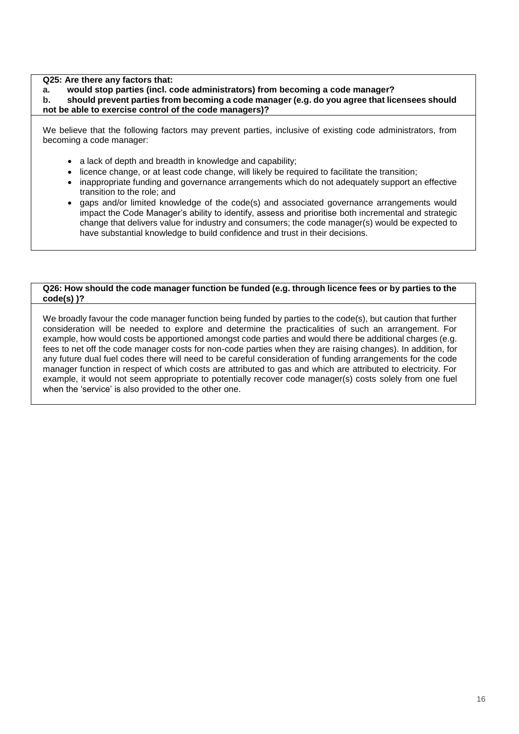**Q25: Are there any factors that:**

**a. would stop parties (incl. code administrators) from becoming a code manager?**

**b. should prevent parties from becoming a code manager (e.g. do you agree that licensees should not be able to exercise control of the code managers)?**

We believe that the following factors may prevent parties, inclusive of existing code administrators, from becoming a code manager:

- a lack of depth and breadth in knowledge and capability;
- licence change, or at least code change, will likely be required to facilitate the transition;
- inappropriate funding and governance arrangements which do not adequately support an effective transition to the role; and
- gaps and/or limited knowledge of the code(s) and associated governance arrangements would impact the Code Manager's ability to identify, assess and prioritise both incremental and strategic change that delivers value for industry and consumers; the code manager(s) would be expected to have substantial knowledge to build confidence and trust in their decisions.

## **Q26: How should the code manager function be funded (e.g. through licence fees or by parties to the code(s) )?**

We broadly favour the code manager function being funded by parties to the code(s), but caution that further consideration will be needed to explore and determine the practicalities of such an arrangement. For example, how would costs be apportioned amongst code parties and would there be additional charges (e.g. fees to net off the code manager costs for non-code parties when they are raising changes). In addition, for any future dual fuel codes there will need to be careful consideration of funding arrangements for the code manager function in respect of which costs are attributed to gas and which are attributed to electricity. For example, it would not seem appropriate to potentially recover code manager(s) costs solely from one fuel when the 'service' is also provided to the other one.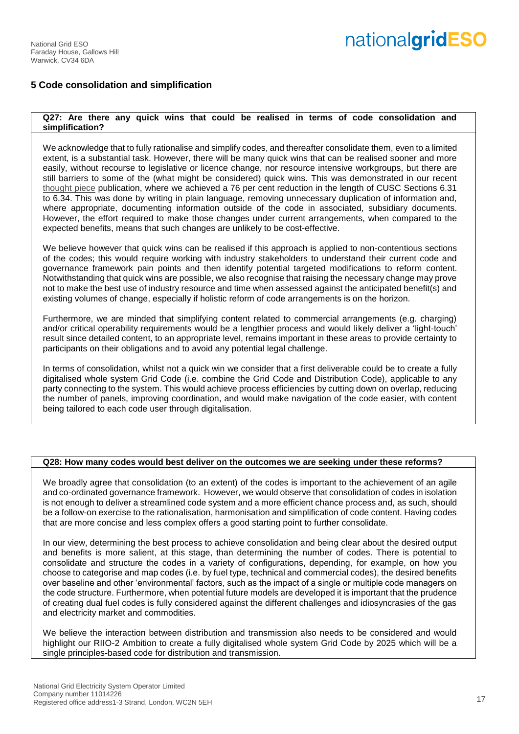# nationalgridESO

## **5 Code consolidation and simplification**

## **Q27: Are there any quick wins that could be realised in terms of code consolidation and simplification?**

We acknowledge that to fully rationalise and simplify codes, and thereafter consolidate them, even to a limited extent, is a substantial task. However, there will be many quick wins that can be realised sooner and more easily, without recourse to legislative or licence change, nor resource intensive workgroups, but there are still barriers to some of the (what might be considered) quick wins. This was demonstrated in our recent [thought piece](https://www.nationalgrideso.com/sites/eso/files/documents/ESO%20Reforming%20Code%20Content.pdf) publication, where we achieved a 76 per cent reduction in the length of CUSC Sections 6.31 to 6.34. This was done by writing in plain language, removing unnecessary duplication of information and, where appropriate, documenting information outside of the code in associated, subsidiary documents. However, the effort required to make those changes under current arrangements, when compared to the expected benefits, means that such changes are unlikely to be cost-effective.

We believe however that quick wins can be realised if this approach is applied to non-contentious sections of the codes; this would require working with industry stakeholders to understand their current code and governance framework pain points and then identify potential targeted modifications to reform content. Notwithstanding that quick wins are possible, we also recognise that raising the necessary change may prove not to make the best use of industry resource and time when assessed against the anticipated benefit(s) and existing volumes of change, especially if holistic reform of code arrangements is on the horizon.

Furthermore, we are minded that simplifying content related to commercial arrangements (e.g. charging) and/or critical operability requirements would be a lengthier process and would likely deliver a 'light-touch' result since detailed content, to an appropriate level, remains important in these areas to provide certainty to participants on their obligations and to avoid any potential legal challenge.

In terms of consolidation, whilst not a quick win we consider that a first deliverable could be to create a fully digitalised whole system Grid Code (i.e. combine the Grid Code and Distribution Code), applicable to any party connecting to the system. This would achieve process efficiencies by cutting down on overlap, reducing the number of panels, improving coordination, and would make navigation of the code easier, with content being tailored to each code user through digitalisation.

## **Q28: How many codes would best deliver on the outcomes we are seeking under these reforms?**

We broadly agree that consolidation (to an extent) of the codes is important to the achievement of an agile and co-ordinated governance framework. However, we would observe that consolidation of codes in isolation is not enough to deliver a streamlined code system and a more efficient chance process and, as such, should be a follow-on exercise to the rationalisation, harmonisation and simplification of code content. Having codes that are more concise and less complex offers a good starting point to further consolidate.

In our view, determining the best process to achieve consolidation and being clear about the desired output and benefits is more salient, at this stage, than determining the number of codes. There is potential to consolidate and structure the codes in a variety of configurations, depending, for example, on how you choose to categorise and map codes (i.e. by fuel type, technical and commercial codes), the desired benefits over baseline and other 'environmental' factors, such as the impact of a single or multiple code managers on the code structure. Furthermore, when potential future models are developed it is important that the prudence of creating dual fuel codes is fully considered against the different challenges and idiosyncrasies of the gas and electricity market and commodities.

We believe the interaction between distribution and transmission also needs to be considered and would highlight our RIIO-2 Ambition to create a fully digitalised whole system Grid Code by 2025 which will be a single principles-based code for distribution and transmission.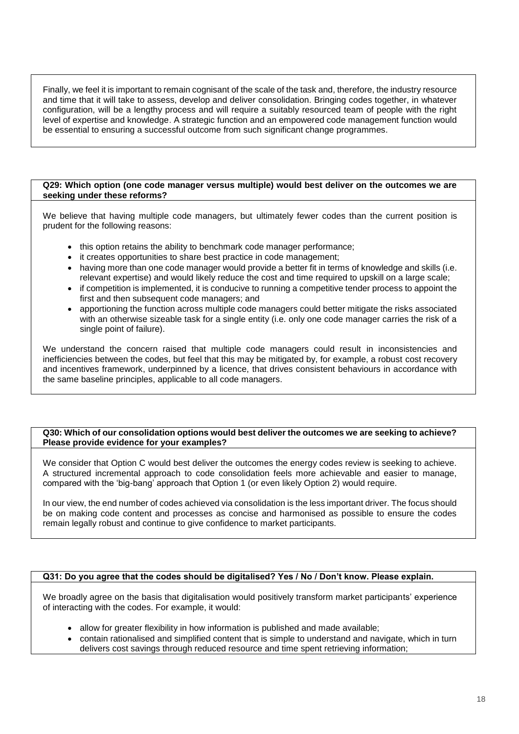Finally, we feel it is important to remain cognisant of the scale of the task and, therefore, the industry resource and time that it will take to assess, develop and deliver consolidation. Bringing codes together, in whatever configuration, will be a lengthy process and will require a suitably resourced team of people with the right level of expertise and knowledge. A strategic function and an empowered code management function would be essential to ensuring a successful outcome from such significant change programmes.

## **Q29: Which option (one code manager versus multiple) would best deliver on the outcomes we are seeking under these reforms?**

We believe that having multiple code managers, but ultimately fewer codes than the current position is prudent for the following reasons:

- this option retains the ability to benchmark code manager performance;
- it creates opportunities to share best practice in code management;
- having more than one code manager would provide a better fit in terms of knowledge and skills (i.e. relevant expertise) and would likely reduce the cost and time required to upskill on a large scale;
- if competition is implemented, it is conducive to running a competitive tender process to appoint the first and then subsequent code managers; and
- apportioning the function across multiple code managers could better mitigate the risks associated with an otherwise sizeable task for a single entity (i.e. only one code manager carries the risk of a single point of failure).

We understand the concern raised that multiple code managers could result in inconsistencies and inefficiencies between the codes, but feel that this may be mitigated by, for example, a robust cost recovery and incentives framework, underpinned by a licence, that drives consistent behaviours in accordance with the same baseline principles, applicable to all code managers.

## **Q30: Which of our consolidation options would best deliver the outcomes we are seeking to achieve? Please provide evidence for your examples?**

We consider that Option C would best deliver the outcomes the energy codes review is seeking to achieve. A structured incremental approach to code consolidation feels more achievable and easier to manage, compared with the 'big-bang' approach that Option 1 (or even likely Option 2) would require.

In our view, the end number of codes achieved via consolidation is the less important driver. The focus should be on making code content and processes as concise and harmonised as possible to ensure the codes remain legally robust and continue to give confidence to market participants.

## **Q31: Do you agree that the codes should be digitalised? Yes / No / Don't know. Please explain.**

We broadly agree on the basis that digitalisation would positively transform market participants' experience of interacting with the codes. For example, it would:

- allow for greater flexibility in how information is published and made available;
- contain rationalised and simplified content that is simple to understand and navigate, which in turn delivers cost savings through reduced resource and time spent retrieving information;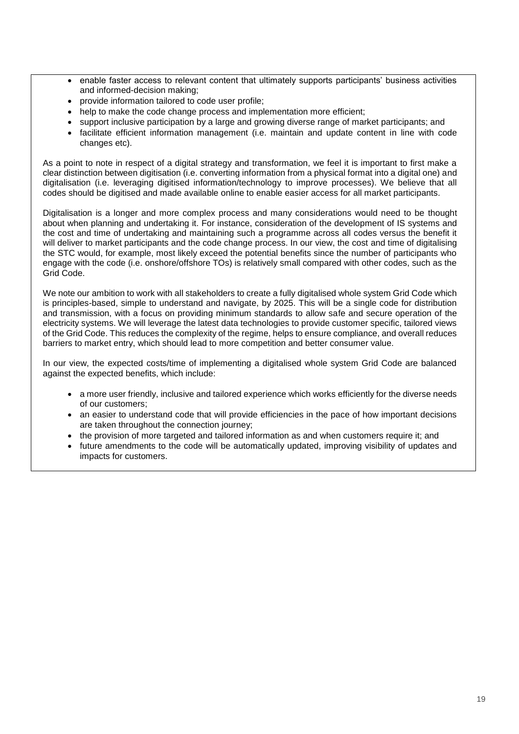- enable faster access to relevant content that ultimately supports participants' business activities and informed-decision making;
- provide information tailored to code user profile;
- help to make the code change process and implementation more efficient:
- support inclusive participation by a large and growing diverse range of market participants; and
- facilitate efficient information management (i.e. maintain and update content in line with code changes etc).

As a point to note in respect of a digital strategy and transformation, we feel it is important to first make a clear distinction between digitisation (i.e. converting information from a physical format into a digital one) and digitalisation (i.e. leveraging digitised information/technology to improve processes). We believe that all codes should be digitised and made available online to enable easier access for all market participants.

Digitalisation is a longer and more complex process and many considerations would need to be thought about when planning and undertaking it. For instance, consideration of the development of IS systems and the cost and time of undertaking and maintaining such a programme across all codes versus the benefit it will deliver to market participants and the code change process. In our view, the cost and time of digitalising the STC would, for example, most likely exceed the potential benefits since the number of participants who engage with the code (i.e. onshore/offshore TOs) is relatively small compared with other codes, such as the Grid Code.

We note our ambition to work with all stakeholders to create a fully digitalised whole system Grid Code which is principles-based, simple to understand and navigate, by 2025. This will be a single code for distribution and transmission, with a focus on providing minimum standards to allow safe and secure operation of the electricity systems. We will leverage the latest data technologies to provide customer specific, tailored views of the Grid Code. This reduces the complexity of the regime, helps to ensure compliance, and overall reduces barriers to market entry, which should lead to more competition and better consumer value.

In our view, the expected costs/time of implementing a digitalised whole system Grid Code are balanced against the expected benefits, which include:

- a more user friendly, inclusive and tailored experience which works efficiently for the diverse needs of our customers;
- an easier to understand code that will provide efficiencies in the pace of how important decisions are taken throughout the connection journey;
- the provision of more targeted and tailored information as and when customers require it; and
- future amendments to the code will be automatically updated, improving visibility of updates and impacts for customers.